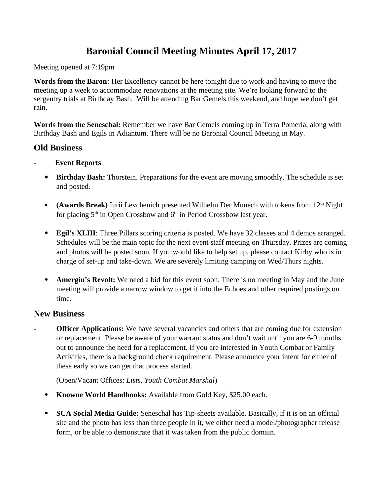# **Baronial Council Meeting Minutes April 17, 2017**

Meeting opened at 7:19pm

**Words from the Baron:** Her Excellency cannot be here tonight due to work and having to move the meeting up a week to accommodate renovations at the meeting site. We're looking forward to the sergentry trials at Birthday Bash. Will be attending Bar Gemels this weekend, and hope we don't get rain.

**Words from the Seneschal:** Remember we have Bar Gemels coming up in Terra Pomeria, along with Birthday Bash and Egils in Adiantum. There will be no Baronial Council Meeting in May.

# **Old Business**

- **Event Reports**
	- **Birthday Bash:** Thorstein. Preparations for the event are moving smoothly. The schedule is set and posted.
	- **(Awards Break)** Iurii Levchenich presented [Wilhelm Der Munech](https://www.facebook.com/william.schuh) with tokens from 12<sup>th</sup> Night for placing  $5<sup>th</sup>$  in Open Crossbow and  $6<sup>th</sup>$  in Period Crossbow last year.
	- **Egil's XLIII**: Three Pillars scoring criteria is posted. We have 32 classes and 4 demos arranged. Schedules will be the main topic for the next event staff meeting on Thursday. Prizes are coming and photos will be posted soon. If you would like to help set up, please contact Kirby who is in charge of set-up and take-down. We are severely limiting camping on Wed/Thurs nights.
	- **Amergin's Revolt:** We need a bid for this event soon. There is no meeting in May and the June meeting will provide a narrow window to get it into the Echoes and other required postings on time.

# **New Business**

**Officer Applications:** We have several vacancies and others that are coming due for extension or replacement. Please be aware of your warrant status and don't wait until you are 6-9 months out to announce the need for a replacement. If you are interested in Youth Combat or Family Activities, there is a background check requirement. Please announce your intent for either of these early so we can get that process started.

(Open/Vacant Offices: *Lists, Youth Combat Marshal*)

- **Knowne World Handbooks:** Available from Gold Key, \$25.00 each.
- **SCA Social Media Guide:** Seneschal has Tip-sheets available. Basically, if it is on an official site and the photo has less than three people in it, we either need a model/photographer release form, or be able to demonstrate that it was taken from the public domain.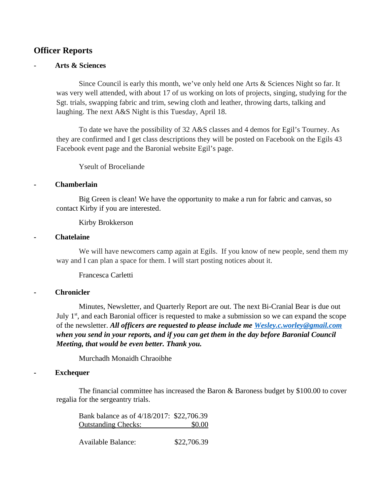# **Officer Reports**

# - **Arts & Sciences**

Since Council is early this month, we've only held one Arts & Sciences Night so far. It was very well attended, with about 17 of us working on lots of projects, singing, studying for the Sgt. trials, swapping fabric and trim, sewing cloth and leather, throwing darts, talking and laughing. The next A&S Night is this Tuesday, April 18.

To date we have the possibility of 32 A&S classes and 4 demos for Egil's Tourney. As they are confirmed and I get class descriptions they will be posted on Facebook on the Egils 43 Facebook event page and the Baronial website Egil's page.

Yseult of Broceliande

#### **- Chamberlain**

Big Green is clean! We have the opportunity to make a run for fabric and canvas, so contact Kirby if you are interested.

Kirby Brokkerson

#### **- Chatelaine**

We will have newcomers camp again at Egils. If you know of new people, send them my way and I can plan a space for them. I will start posting notices about it.

Francesca Carletti

# **- Chronicler**

Minutes, Newsletter, and Quarterly Report are out. The next Bi-Cranial Bear is due out July  $1<sup>st</sup>$ , and each Baronial officer is requested to make a submission so we can expand the scope of the newsletter. *All officers are requested to please include me [Wesley.c.worley@gmail.com](mailto:Wesley.c.worley@gmail.com) when you send in your reports, and if you can get them in the day before Baronial Council Meeting, that would be even better. Thank you.*

Murchadh Monaidh Chraoibhe

#### **- Exchequer**

The financial committee has increased the Baron & Baroness budget by \$100.00 to cover regalia for the sergeantry trials.

Bank balance as of 4/18/2017: \$22,706.39 Outstanding Checks: \$0.00

Available Balance: \$22,706.39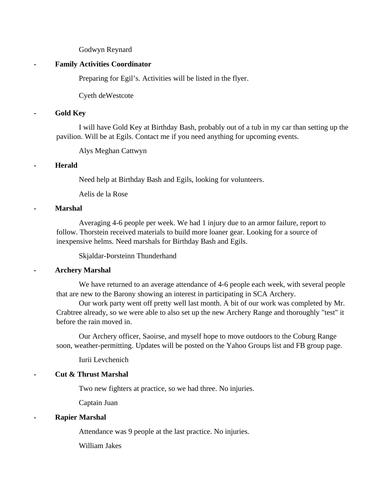#### Godwyn Reynard

#### **- Family Activities Coordinator**

Preparing for Egil's. Activities will be listed in the flyer.

Cyeth deWestcote

### **- Gold Key**

I will have Gold Key at Birthday Bash, probably out of a tub in my car than setting up the pavilion. Will be at Egils. Contact me if you need anything for upcoming events.

Alys Meghan Cattwyn

# **- Herald**

Need help at Birthday Bash and Egils, looking for volunteers.

Aelis de la Rose

#### **- Marshal**

Averaging 4-6 people per week. We had 1 injury due to an armor failure, report to follow. Thorstein received materials to build more loaner gear. Looking for a source of inexpensive helms. Need marshals for Birthday Bash and Egils.

Skjaldar-Þorsteinn Thunderhand

# **- Archery Marshal**

We have returned to an average attendance of 4-6 people each week, with several people that are new to the Barony showing an interest in participating in SCA Archery.

Our work party went off pretty well last month. A bit of our work was completed by Mr. Crabtree already, so we were able to also set up the new Archery Range and thoroughly "test" it before the rain moved in.

Our Archery officer, Saoirse, and myself hope to move outdoors to the Coburg Range soon, weather-permitting. Updates will be posted on the Yahoo Groups list and FB group page.

Iurii Levchenich

# **- Cut & Thrust Marshal**

Two new fighters at practice, so we had three. No injuries.

Captain Juan

# **- Rapier Marshal**

Attendance was 9 people at the last practice. No injuries.

William Jakes